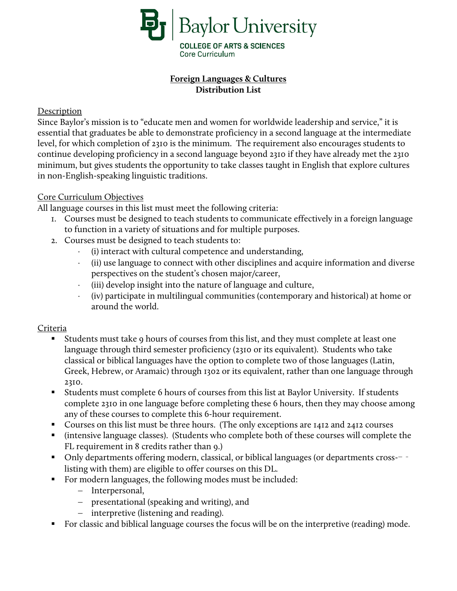

# **Foreign Languages & Cultures Distribution List**

## Description

Since Baylor's mission is to "educate men and women for worldwide leadership and service," it is essential that graduates be able to demonstrate proficiency in a second language at the intermediate level, for which completion of 2310 is the minimum. The requirement also encourages students to continue developing proficiency in a second language beyond 2310 if they have already met the 2310 minimum, but gives students the opportunity to take classes taught in English that explore cultures in non-English-speaking linguistic traditions.

### Core Curriculum Objectives

All language courses in this list must meet the following criteria:

- 1. Courses must be designed to teach students to communicate effectively in a foreign language to function in a variety of situations and for multiple purposes.
- 2. Courses must be designed to teach students to:
	- ⋅ (i) interact with cultural competence and understanding,
	- ⋅ (ii) use language to connect with other disciplines and acquire information and diverse perspectives on the student's chosen major/career,
	- ⋅ (iii) develop insight into the nature of language and culture,
	- ⋅ (iv) participate in multilingual communities (contemporary and historical) at home or around the world.

# **Criteria**

- Students must take 9 hours of courses from this list, and they must complete at least one language through third semester proficiency (2310 or its equivalent). Students who take classical or biblical languages have the option to complete two of those languages (Latin, Greek, Hebrew, or Aramaic) through 1302 or its equivalent, rather than one language through 2310.
- Students must complete 6 hours of courses from this list at Baylor University. If students complete 2310 in one language before completing these 6 hours, then they may choose among any of these courses to complete this 6-hour requirement.
- Courses on this list must be three hours. (The only exceptions are 1412 and 2412 courses
- (intensive language classes). (Students who complete both of these courses will complete the FL requirement in 8 credits rather than 9.)
- Only departments offering modern, classical, or biblical languages (or departments cross--listing with them) are eligible to offer courses on this DL.
- For modern languages, the following modes must be included:
	- − Interpersonal,
	- − presentational (speaking and writing), and
	- − interpretive (listening and reading).
- For classic and biblical language courses the focus will be on the interpretive (reading) mode.